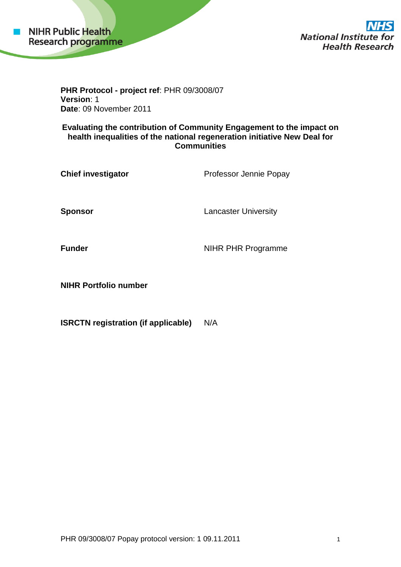

**National Institute for Health Research** 

**PHR Protocol - project ref**: PHR 09/3008/07 **Version**: 1 **Date**: 09 November 2011

**Evaluating the contribution of Community Engagement to the impact on health inequalities of the national regeneration initiative New Deal for Communities**

| <b>Chief investigator</b> | Professor Jennie Popay      |
|---------------------------|-----------------------------|
| Sponsor                   | <b>Lancaster University</b> |
| Funder                    | NIHR PHR Programme          |

**NIHR Portfolio number**

**ISRCTN registration (if applicable)** N/A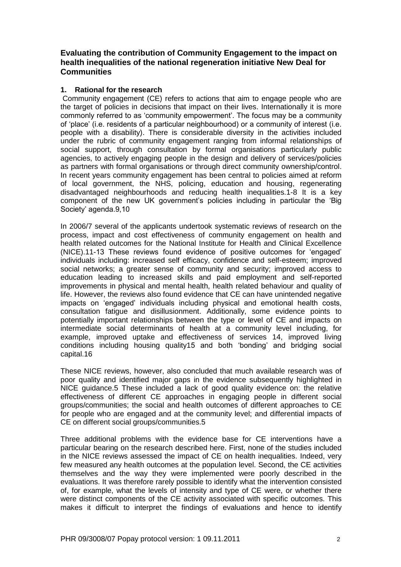# **Evaluating the contribution of Community Engagement to the impact on health inequalities of the national regeneration initiative New Deal for Communities**

## **1. Rational for the research**

Community engagement (CE) refers to actions that aim to engage people who are the target of policies in decisions that impact on their lives. Internationally it is more commonly referred to as 'community empowerment'. The focus may be a community of 'place' (i.e. residents of a particular neighbourhood) or a community of interest (i.e. people with a disability). There is considerable diversity in the activities included under the rubric of community engagement ranging from informal relationships of social support, through consultation by formal organisations particularly public agencies, to actively engaging people in the design and delivery of services/policies as partners with formal organisations or through direct community ownership/control. In recent years community engagement has been central to policies aimed at reform of local government, the NHS, policing, education and housing, regenerating disadvantaged neighbourhoods and reducing health inequalities.1-8 It is a key component of the new UK government's policies including in particular the 'Big Society' agenda.9,10

In 2006/7 several of the applicants undertook systematic reviews of research on the process, impact and cost effectiveness of community engagement on health and health related outcomes for the National Institute for Health and Clinical Excellence (NICE).11-13 These reviews found evidence of positive outcomes for 'engaged' individuals including: increased self efficacy, confidence and self-esteem; improved social networks; a greater sense of community and security; improved access to education leading to increased skills and paid employment and self-reported improvements in physical and mental health, health related behaviour and quality of life. However, the reviews also found evidence that CE can have unintended negative impacts on 'engaged' individuals including physical and emotional health costs, consultation fatigue and disillusionment. Additionally, some evidence points to potentially important relationships between the type or level of CE and impacts on intermediate social determinants of health at a community level including, for example, improved uptake and effectiveness of services 14, improved living conditions including housing quality15 and both 'bonding' and bridging social capital.16

These NICE reviews, however, also concluded that much available research was of poor quality and identified major gaps in the evidence subsequently highlighted in NICE guidance.5 These included a lack of good quality evidence on: the relative effectiveness of different CE approaches in engaging people in different social groups/communities; the social and health outcomes of different approaches to CE for people who are engaged and at the community level; and differential impacts of CE on different social groups/communities.5

Three additional problems with the evidence base for CE interventions have a particular bearing on the research described here. First, none of the studies included in the NICE reviews assessed the impact of CE on health inequalities. Indeed, very few measured any health outcomes at the population level. Second, the CE activities themselves and the way they were implemented were poorly described in the evaluations. It was therefore rarely possible to identify what the intervention consisted of, for example, what the levels of intensity and type of CE were, or whether there were distinct components of the CE activity associated with specific outcomes. This makes it difficult to interpret the findings of evaluations and hence to identify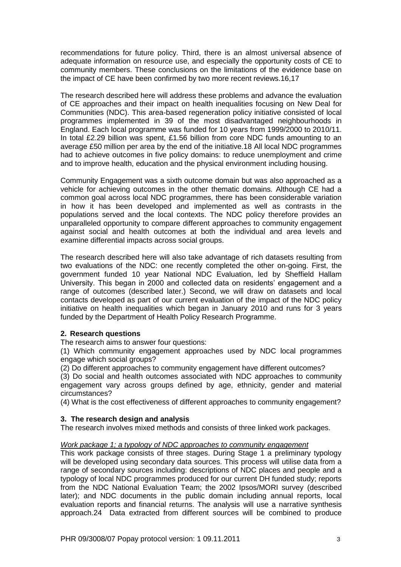recommendations for future policy. Third, there is an almost universal absence of adequate information on resource use, and especially the opportunity costs of CE to community members. These conclusions on the limitations of the evidence base on the impact of CE have been confirmed by two more recent reviews.16,17

The research described here will address these problems and advance the evaluation of CE approaches and their impact on health inequalities focusing on New Deal for Communities (NDC). This area-based regeneration policy initiative consisted of local programmes implemented in 39 of the most disadvantaged neighbourhoods in England. Each local programme was funded for 10 years from 1999/2000 to 2010/11. In total £2.29 billion was spent, £1.56 billion from core NDC funds amounting to an average £50 million per area by the end of the initiative.18 All local NDC programmes had to achieve outcomes in five policy domains: to reduce unemployment and crime and to improve health, education and the physical environment including housing.

Community Engagement was a sixth outcome domain but was also approached as a vehicle for achieving outcomes in the other thematic domains. Although CE had a common goal across local NDC programmes, there has been considerable variation in how it has been developed and implemented as well as contrasts in the populations served and the local contexts. The NDC policy therefore provides an unparalleled opportunity to compare different approaches to community engagement against social and health outcomes at both the individual and area levels and examine differential impacts across social groups.

The research described here will also take advantage of rich datasets resulting from two evaluations of the NDC: one recently completed the other on-going. First, the government funded 10 year National NDC Evaluation, led by Sheffield Hallam University. This began in 2000 and collected data on residents' engagement and a range of outcomes (described later.) Second, we will draw on datasets and local contacts developed as part of our current evaluation of the impact of the NDC policy initiative on health inequalities which began in January 2010 and runs for 3 years funded by the Department of Health Policy Research Programme.

# **2. Research questions**

The research aims to answer four questions:

(1) Which community engagement approaches used by NDC local programmes engage which social groups?

(2) Do different approaches to community engagement have different outcomes?

(3) Do social and health outcomes associated with NDC approaches to community engagement vary across groups defined by age, ethnicity, gender and material circumstances?

(4) What is the cost effectiveness of different approaches to community engagement?

#### **3. The research design and analysis**

The research involves mixed methods and consists of three linked work packages.

#### *Work package 1; a typology of NDC approaches to community engagement*

This work package consists of three stages. During Stage 1 a preliminary typology will be developed using secondary data sources. This process will utilise data from a range of secondary sources including: descriptions of NDC places and people and a typology of local NDC programmes produced for our current DH funded study; reports from the NDC National Evaluation Team; the 2002 Ipsos/MORI survey (described later); and NDC documents in the public domain including annual reports, local evaluation reports and financial returns. The analysis will use a narrative synthesis approach.24 Data extracted from different sources will be combined to produce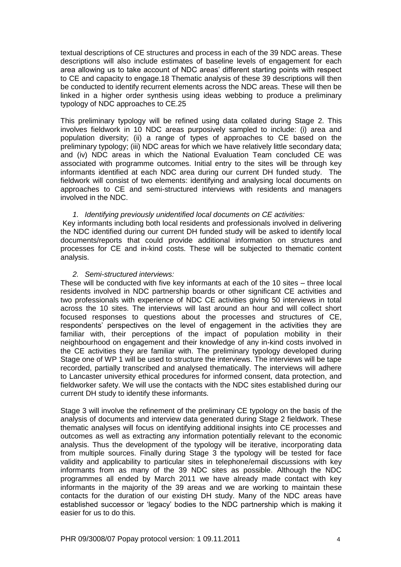textual descriptions of CE structures and process in each of the 39 NDC areas. These descriptions will also include estimates of baseline levels of engagement for each area allowing us to take account of NDC areas' different starting points with respect to CE and capacity to engage.18 Thematic analysis of these 39 descriptions will then be conducted to identify recurrent elements across the NDC areas. These will then be linked in a higher order synthesis using ideas webbing to produce a preliminary typology of NDC approaches to CE.25

This preliminary typology will be refined using data collated during Stage 2. This involves fieldwork in 10 NDC areas purposively sampled to include: (i) area and population diversity; (ii) a range of types of approaches to CE based on the preliminary typology; (iii) NDC areas for which we have relatively little secondary data; and (iv) NDC areas in which the National Evaluation Team concluded CE was associated with programme outcomes. Initial entry to the sites will be through key informants identified at each NDC area during our current DH funded study. The fieldwork will consist of two elements: identifying and analysing local documents on approaches to CE and semi-structured interviews with residents and managers involved in the NDC.

#### *1. Identifying previously unidentified local documents on CE activities:*

Key informants including both local residents and professionals involved in delivering the NDC identified during our current DH funded study will be asked to identify local documents/reports that could provide additional information on structures and processes for CE and in-kind costs. These will be subjected to thematic content analysis.

#### *2. Semi-structured interviews:*

These will be conducted with five key informants at each of the 10 sites – three local residents involved in NDC partnership boards or other significant CE activities and two professionals with experience of NDC CE activities giving 50 interviews in total across the 10 sites. The interviews will last around an hour and will collect short focused responses to questions about the processes and structures of CE, respondents' perspectives on the level of engagement in the activities they are familiar with, their perceptions of the impact of population mobility in their neighbourhood on engagement and their knowledge of any in-kind costs involved in the CE activities they are familiar with. The preliminary typology developed during Stage one of WP 1 will be used to structure the interviews. The interviews will be tape recorded, partially transcribed and analysed thematically. The interviews will adhere to Lancaster university ethical procedures for informed consent, data protection, and fieldworker safety. We will use the contacts with the NDC sites established during our current DH study to identify these informants.

Stage 3 will involve the refinement of the preliminary CE typology on the basis of the analysis of documents and interview data generated during Stage 2 fieldwork. These thematic analyses will focus on identifying additional insights into CE processes and outcomes as well as extracting any information potentially relevant to the economic analysis. Thus the development of the typology will be iterative, incorporating data from multiple sources. Finally during Stage 3 the typology will be tested for face validity and applicability to particular sites in telephone/email discussions with key informants from as many of the 39 NDC sites as possible. Although the NDC programmes all ended by March 2011 we have already made contact with key informants in the majority of the 39 areas and we are working to maintain these contacts for the duration of our existing DH study. Many of the NDC areas have established successor or 'legacy' bodies to the NDC partnership which is making it easier for us to do this.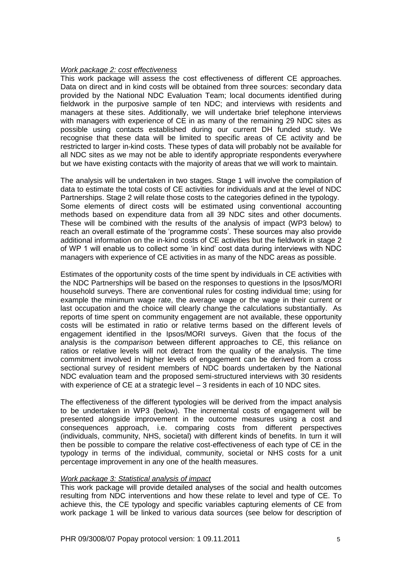### *Work package 2: cost effectiveness*

This work package will assess the cost effectiveness of different CE approaches. Data on direct and in kind costs will be obtained from three sources: secondary data provided by the National NDC Evaluation Team; local documents identified during fieldwork in the purposive sample of ten NDC; and interviews with residents and managers at these sites. Additionally, we will undertake brief telephone interviews with managers with experience of CE in as many of the remaining 29 NDC sites as possible using contacts established during our current DH funded study. We recognise that these data will be limited to specific areas of CE activity and be restricted to larger in-kind costs. These types of data will probably not be available for all NDC sites as we may not be able to identify appropriate respondents everywhere but we have existing contacts with the majority of areas that we will work to maintain.

The analysis will be undertaken in two stages. Stage 1 will involve the compilation of data to estimate the total costs of CE activities for individuals and at the level of NDC Partnerships. Stage 2 will relate those costs to the categories defined in the typology. Some elements of direct costs will be estimated using conventional accounting methods based on expenditure data from all 39 NDC sites and other documents. These will be combined with the results of the analysis of impact (WP3 below) to reach an overall estimate of the 'programme costs'. These sources may also provide additional information on the in-kind costs of CE activities but the fieldwork in stage 2 of WP 1 will enable us to collect some 'in kind' cost data during interviews with NDC managers with experience of CE activities in as many of the NDC areas as possible.

Estimates of the opportunity costs of the time spent by individuals in CE activities with the NDC Partnerships will be based on the responses to questions in the Ipsos/MORI household surveys. There are conventional rules for costing individual time; using for example the minimum wage rate, the average wage or the wage in their current or last occupation and the choice will clearly change the calculations substantially. As reports of time spent on community engagement are not available, these opportunity costs will be estimated in ratio or relative terms based on the different levels of engagement identified in the Ipsos/MORI surveys. Given that the focus of the analysis is the *comparison* between different approaches to CE, this reliance on ratios or relative levels will not detract from the quality of the analysis. The time commitment involved in higher levels of engagement can be derived from a cross sectional survey of resident members of NDC boards undertaken by the National NDC evaluation team and the proposed semi-structured interviews with 30 residents with experience of CE at a strategic level – 3 residents in each of 10 NDC sites.

The effectiveness of the different typologies will be derived from the impact analysis to be undertaken in WP3 (below). The incremental costs of engagement will be presented alongside improvement in the outcome measures using a cost and consequences approach, i.e. comparing costs from different perspectives (individuals, community, NHS, societal) with different kinds of benefits. In turn it will then be possible to compare the relative cost-effectiveness of each type of CE in the typology in terms of the individual, community, societal or NHS costs for a unit percentage improvement in any one of the health measures.

#### *Work package 3: Statistical analysis of impact*

This work package will provide detailed analyses of the social and health outcomes resulting from NDC interventions and how these relate to level and type of CE. To achieve this, the CE typology and specific variables capturing elements of CE from work package 1 will be linked to various data sources (see below for description of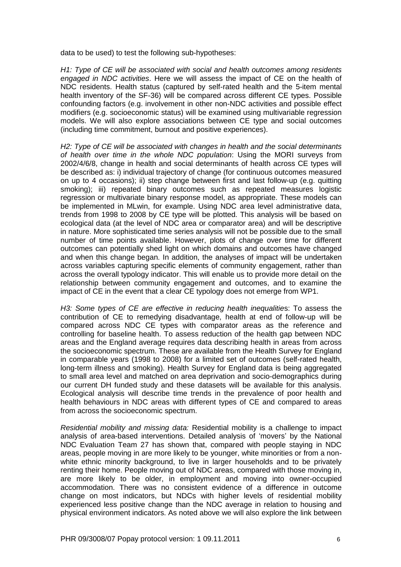data to be used) to test the following sub-hypotheses:

*H1: Type of CE will be associated with social and health outcomes among residents engaged in NDC activities*. Here we will assess the impact of CE on the health of NDC residents. Health status (captured by self-rated health and the 5-item mental health inventory of the SF-36) will be compared across different CE types. Possible confounding factors (e.g. involvement in other non-NDC activities and possible effect modifiers (e.g. socioeconomic status) will be examined using multivariable regression models. We will also explore associations between CE type and social outcomes (including time commitment, burnout and positive experiences).

*H2: Type of CE will be associated with changes in health and the social determinants of health over time in the whole NDC population*: Using the MORI surveys from 2002/4/6/8, change in health and social determinants of health across CE types will be described as: i) individual trajectory of change (for continuous outcomes measured on up to 4 occasions); ii) step change between first and last follow-up (e.g. quitting smoking); iii) repeated binary outcomes such as repeated measures logistic regression or multivariate binary response model, as appropriate. These models can be implemented in MLwin, for example. Using NDC area level administrative data, trends from 1998 to 2008 by CE type will be plotted. This analysis will be based on ecological data (at the level of NDC area or comparator area) and will be descriptive in nature. More sophisticated time series analysis will not be possible due to the small number of time points available. However, plots of change over time for different outcomes can potentially shed light on which domains and outcomes have changed and when this change began. In addition, the analyses of impact will be undertaken across variables capturing specific elements of community engagement, rather than across the overall typology indicator. This will enable us to provide more detail on the relationship between community engagement and outcomes, and to examine the impact of CE in the event that a clear CE typology does not emerge from WP1.

*H3: Some types of CE are effective in reducing health inequalitie*s: To assess the contribution of CE to remedying disadvantage, health at end of follow-up will be compared across NDC CE types with comparator areas as the reference and controlling for baseline health. To assess reduction of the health gap between NDC areas and the England average requires data describing health in areas from across the socioeconomic spectrum. These are available from the Health Survey for England in comparable years (1998 to 2008) for a limited set of outcomes (self-rated health, long-term illness and smoking). Health Survey for England data is being aggregated to small area level and matched on area deprivation and socio-demographics during our current DH funded study and these datasets will be available for this analysis. Ecological analysis will describe time trends in the prevalence of poor health and health behaviours in NDC areas with different types of CE and compared to areas from across the socioeconomic spectrum.

*Residential mobility and missing data:* Residential mobility is a challenge to impact analysis of area-based interventions. Detailed analysis of 'movers' by the National NDC Evaluation Team 27 has shown that, compared with people staying in NDC areas, people moving in are more likely to be younger, white minorities or from a nonwhite ethnic minority background, to live in larger households and to be privately renting their home. People moving out of NDC areas, compared with those moving in, are more likely to be older, in employment and moving into owner-occupied accommodation. There was no consistent evidence of a difference in outcome change on most indicators, but NDCs with higher levels of residential mobility experienced less positive change than the NDC average in relation to housing and physical environment indicators. As noted above we will also explore the link between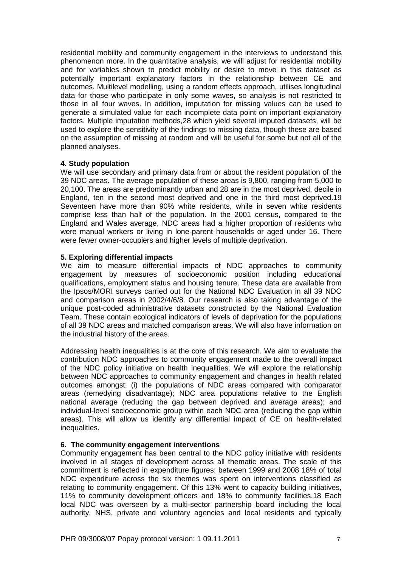residential mobility and community engagement in the interviews to understand this phenomenon more. In the quantitative analysis, we will adjust for residential mobility and for variables shown to predict mobility or desire to move in this dataset as potentially important explanatory factors in the relationship between CE and outcomes. Multilevel modelling, using a random effects approach, utilises longitudinal data for those who participate in only some waves, so analysis is not restricted to those in all four waves. In addition, imputation for missing values can be used to generate a simulated value for each incomplete data point on important explanatory factors. Multiple imputation methods,28 which yield several imputed datasets, will be used to explore the sensitivity of the findings to missing data, though these are based on the assumption of missing at random and will be useful for some but not all of the planned analyses.

# **4. Study population**

We will use secondary and primary data from or about the resident population of the 39 NDC areas. The average population of these areas is 9,800, ranging from 5,000 to 20,100. The areas are predominantly urban and 28 are in the most deprived, decile in England, ten in the second most deprived and one in the third most deprived.19 Seventeen have more than 90% white residents, while in seven white residents comprise less than half of the population. In the 2001 census, compared to the England and Wales average, NDC areas had a higher proportion of residents who were manual workers or living in lone-parent households or aged under 16. There were fewer owner-occupiers and higher levels of multiple deprivation.

## **5. Exploring differential impacts**

We aim to measure differential impacts of NDC approaches to community engagement by measures of socioeconomic position including educational qualifications, employment status and housing tenure. These data are available from the Ipsos/MORI surveys carried out for the National NDC Evaluation in all 39 NDC and comparison areas in 2002/4/6/8. Our research is also taking advantage of the unique post-coded administrative datasets constructed by the National Evaluation Team. These contain ecological indicators of levels of deprivation for the populations of all 39 NDC areas and matched comparison areas. We will also have information on the industrial history of the areas.

Addressing health inequalities is at the core of this research. We aim to evaluate the contribution NDC approaches to community engagement made to the overall impact of the NDC policy initiative on health inequalities. We will explore the relationship between NDC approaches to community engagement and changes in health related outcomes amongst: (i) the populations of NDC areas compared with comparator areas (remedying disadvantage); NDC area populations relative to the English national average (reducing the gap between deprived and average areas); and individual-level socioeconomic group within each NDC area (reducing the gap within areas). This will allow us identify any differential impact of CE on health-related inequalities.

# **6. The community engagement interventions**

Community engagement has been central to the NDC policy initiative with residents involved in all stages of development across all thematic areas. The scale of this commitment is reflected in expenditure figures: between 1999 and 2008 18% of total NDC expenditure across the six themes was spent on interventions classified as relating to community engagement. Of this 13% went to capacity building initiatives, 11% to community development officers and 18% to community facilities.18 Each local NDC was overseen by a multi-sector partnership board including the local authority, NHS, private and voluntary agencies and local residents and typically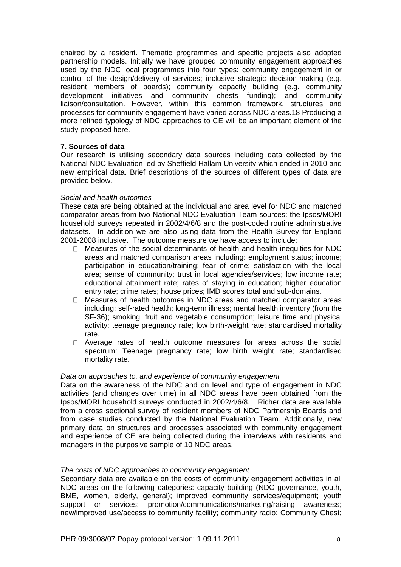chaired by a resident. Thematic programmes and specific projects also adopted partnership models. Initially we have grouped community engagement approaches used by the NDC local programmes into four types: community engagement in or control of the design/delivery of services; inclusive strategic decision-making (e.g. resident members of boards); community capacity building (e.g. community development initiatives and community chests funding); and community liaison/consultation. However, within this common framework, structures and processes for community engagement have varied across NDC areas.18 Producing a more refined typology of NDC approaches to CE will be an important element of the study proposed here.

# **7. Sources of data**

Our research is utilising secondary data sources including data collected by the National NDC Evaluation led by Sheffield Hallam University which ended in 2010 and new empirical data. Brief descriptions of the sources of different types of data are provided below.

### *Social and health outcomes*

These data are being obtained at the individual and area level for NDC and matched comparator areas from two National NDC Evaluation Team sources: the Ipsos/MORI household surveys repeated in 2002/4/6/8 and the post-coded routine administrative datasets. In addition we are also using data from the Health Survey for England 2001-2008 inclusive. The outcome measure we have access to include:

- $\Box$  Measures of the social determinants of health and health inequities for NDC areas and matched comparison areas including: employment status; income; participation in education/training; fear of crime; satisfaction with the local area; sense of community; trust in local agencies/services; low income rate; educational attainment rate; rates of staying in education; higher education entry rate; crime rates; house prices; IMD scores total and sub-domains.
- $\Box$  Measures of health outcomes in NDC areas and matched comparator areas including: self-rated health; long-term illness; mental health inventory (from the SF-36); smoking, fruit and vegetable consumption; leisure time and physical activity; teenage pregnancy rate; low birth-weight rate; standardised mortality rate.
- $\Box$ Average rates of health outcome measures for areas across the social spectrum: Teenage pregnancy rate; low birth weight rate; standardised mortality rate.

#### *Data on approaches to, and experience of community engagement*

Data on the awareness of the NDC and on level and type of engagement in NDC activities (and changes over time) in all NDC areas have been obtained from the Ipsos/MORI household surveys conducted in 2002/4/6/8. Richer data are available from a cross sectional survey of resident members of NDC Partnership Boards and from case studies conducted by the National Evaluation Team. Additionally, new primary data on structures and processes associated with community engagement and experience of CE are being collected during the interviews with residents and managers in the purposive sample of 10 NDC areas.

## *The costs of NDC approaches to community engagement*

Secondary data are available on the costs of community engagement activities in all NDC areas on the following categories: capacity building (NDC governance, youth, BME, women, elderly, general); improved community services/equipment; youth support or services; promotion/communications/marketing/raising awareness; new/improved use/access to community facility; community radio; Community Chest;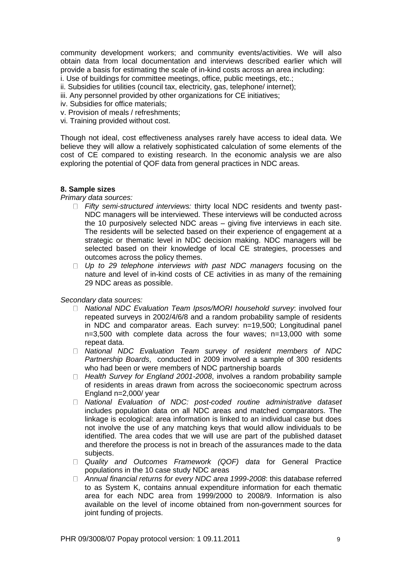community development workers; and community events/activities. We will also obtain data from local documentation and interviews described earlier which will provide a basis for estimating the scale of in-kind costs across an area including:

i. Use of buildings for committee meetings, office, public meetings, etc.;

ii. Subsidies for utilities (council tax, electricity, gas, telephone/ internet);

iii. Any personnel provided by other organizations for CE initiatives;

- iv. Subsidies for office materials;
- v. Provision of meals / refreshments;
- vi. Training provided without cost.

Though not ideal, cost effectiveness analyses rarely have access to ideal data. We believe they will allow a relatively sophisticated calculation of some elements of the cost of CE compared to existing research. In the economic analysis we are also exploring the potential of QOF data from general practices in NDC areas.

## **8. Sample sizes**

*Primary data sources:* 

- *Fifty semi-structured interviews:* thirty local NDC residents and twenty past-NDC managers will be interviewed. These interviews will be conducted across the 10 purposively selected NDC areas – giving five interviews in each site. The residents will be selected based on their experience of engagement at a strategic or thematic level in NDC decision making. NDC managers will be selected based on their knowledge of local CE strategies, processes and outcomes across the policy themes.
- □ Up to 29 telephone interviews with past NDC managers focusing on the nature and level of in-kind costs of CE activities in as many of the remaining 29 NDC areas as possible.

#### *Secondary data sources:*

- $\Box$ *National NDC Evaluation Team Ipsos/MORI household survey*: involved four repeated surveys in 2002/4/6/8 and a random probability sample of residents in NDC and comparator areas. Each survey: n=19,500; Longitudinal panel n=3,500 with complete data across the four waves; n=13,000 with some repeat data.
- *National NDC Evaluation Team survey of resident members of NDC Partnership Boards*, conducted in 2009 involved a sample of 300 residents who had been or were members of NDC partnership boards
- *Health Survey for England 2001-2008*, involves a random probability sample of residents in areas drawn from across the socioeconomic spectrum across England n=2,000/ year
- *National Evaluation of NDC: post-coded routine administrative dataset*  includes population data on all NDC areas and matched comparators. The linkage is ecological: area information is linked to an individual case but does not involve the use of any matching keys that would allow individuals to be identified. The area codes that we will use are part of the published dataset and therefore the process is not in breach of the assurances made to the data subjects.
- *Quality and Outcomes Framework (QOF) data* for General Practice populations in the 10 case study NDC areas
- *Annual financial returns for every NDC area 1999-2008*: this database referred to as System K, contains annual expenditure information for each thematic area for each NDC area from 1999/2000 to 2008/9. Information is also available on the level of income obtained from non-government sources for joint funding of projects.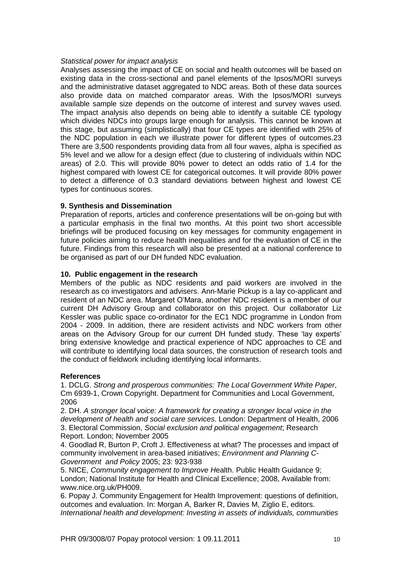## *Statistical power for impact analysis*

Analyses assessing the impact of CE on social and health outcomes will be based on existing data in the cross-sectional and panel elements of the Ipsos/MORI surveys and the administrative dataset aggregated to NDC areas. Both of these data sources also provide data on matched comparator areas. With the Ipsos/MORI surveys available sample size depends on the outcome of interest and survey waves used. The impact analysis also depends on being able to identify a suitable CE typology which divides NDCs into groups large enough for analysis. This cannot be known at this stage, but assuming (simplistically) that four CE types are identified with 25% of the NDC population in each we illustrate power for different types of outcomes.23 There are 3,500 respondents providing data from all four waves, alpha is specified as 5% level and we allow for a design effect (due to clustering of individuals within NDC areas) of 2.0. This will provide 80% power to detect an odds ratio of 1.4 for the highest compared with lowest CE for categorical outcomes. It will provide 80% power to detect a difference of 0.3 standard deviations between highest and lowest CE types for continuous scores.

# **9. Synthesis and Dissemination**

Preparation of reports, articles and conference presentations will be on-going but with a particular emphasis in the final two months. At this point two short accessible briefings will be produced focusing on key messages for community engagement in future policies aiming to reduce health inequalities and for the evaluation of CE in the future. Findings from this research will also be presented at a national conference to be organised as part of our DH funded NDC evaluation.

## **10. Public engagement in the research**

Members of the public as NDC residents and paid workers are involved in the research as co investigators and advisers. Ann-Marie Pickup is a lay co-applicant and resident of an NDC area. Margaret O'Mara, another NDC resident is a member of our current DH Advisory Group and collaborator on this project. Our collaborator Liz Kessler was public space co-ordinator for the EC1 NDC programme in London from 2004 - 2009. In addition, there are resident activists and NDC workers from other areas on the Advisory Group for our current DH funded study. These 'lay experts' bring extensive knowledge and practical experience of NDC approaches to CE and will contribute to identifying local data sources, the construction of research tools and the conduct of fieldwork including identifying local informants.

# **References**

1. DCLG. *Strong and prosperous communities: The Local Government White Paper*, Cm 6939-1, Crown Copyright. Department for Communities and Local Government, 2006

2. DH. *A stronger local voice: A framework for creating a stronger local voice in the development of health and social care services*. London: Department of Health, 2006 3. Electoral Commission, *Social exclusion and political engagement*; Research Report. London; November 2005

4. Goodlad R, Burton P, Croft J. Effectiveness at what? The processes and impact of community involvement in area-based initiatives; *Environment and Planning C-Government and Policy* 2005; 23: 923-938

5. NICE, *Community engagement to Improve H*ealth. Public Health Guidance 9; London; National Institute for Health and Clinical Excellence; 2008, Available from: www.nice.org.uk/PH009.

6. Popay J. Community Engagement for Health Improvement: questions of definition, outcomes and evaluation. In: Morgan A, Barker R, Davies M, Ziglio E, editors. *International health and development: Investing in assets of individuals, communities*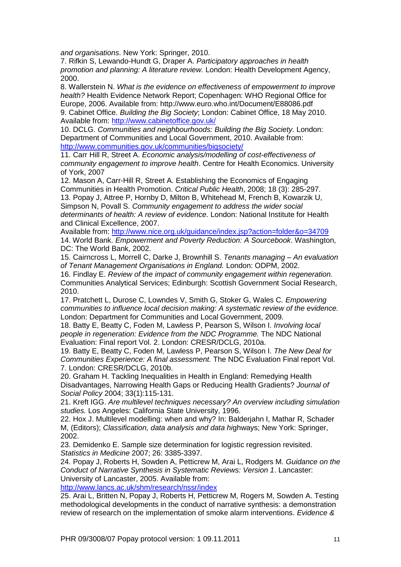*and organisations*. New York: Springer, 2010.

7. Rifkin S, Lewando-Hundt G, Draper A. *Participatory approaches in health promotion and planning: A literature review.* London: Health Development Agency, 2000.

8. Wallerstein N. *What is the evidence on effectiveness of empowerment to improve health?* Health Evidence Network Report; Copenhagen: WHO Regional Office for Europe, 2006. Available from: http://www.euro.who.int/Document/E88086.pdf 9. Cabinet Office. *Building the Big Society*; London: Cabinet Office, 18 May 2010. Available from:<http://www.cabinetoffice.gov.uk/>

10. DCLG. *Communities and neighbourhoods: Building the Big Society*. London: Department of Communities and Local Government, 2010. Available from: <http://www.communities.gov.uk/communities/bigsociety/>

11. Carr Hill R, Street A. *Economic analysis/modelling of cost-effectiveness of community engagement to improve health*. Centre for Health Economics. University of York, 2007

12. Mason A, Carr-Hill R, Street A. Establishing the Economics of Engaging Communities in Health Promotion. *Critical Public Health*, 2008; 18 (3): 285-297. 13. Popay J, Attree P, Hornby D, Milton B, Whitehead M, French B, Kowarzik U, Simpson N, Povall S. *Community engagement to address the wider social determinants of health: A review of evidence*. London: National Institute for Health and Clinical Excellence, 2007.

Available from:<http://www.nice.org.uk/guidance/index.jsp?action=folder&o=34709> 14. World Bank. *Empowerment and Poverty Reduction: A Sourcebook*. Washington, DC: The World Bank, 2002.

15. Cairncross L, Morrell C, Darke J, Brownhill S. *Tenants managing – An evaluation of Tenant Management Organisations in England.* London: ODPM, 2002.

16. Findlay E. *Review of the impact of community engagement within regeneration.*  Communities Analytical Services; Edinburgh: Scottish Government Social Research, 2010.

17. Pratchett L, Durose C, Lowndes V, Smith G, Stoker G, Wales C. *Empowering communities to influence local decision making: A systematic review of the evidence.* London: Department for Communities and Local Government, 2009.

18. Batty E, Beatty C, Foden M, Lawless P, Pearson S, Wilson I. *Involving local people in regeneration: Evidence from the NDC Programme.* The NDC National Evaluation: Final report Vol. 2. London: CRESR/DCLG, 2010a.

19. Batty E, Beatty C, Foden M, Lawless P, Pearson S, Wilson I. *The New Deal for Communities Experience: A final assessment.* The NDC Evaluation Final report Vol. 7. London: CRESR/DCLG, 2010b.

20. Graham H. Tackling Inequalities in Health in England: Remedying Health Disadvantages, Narrowing Health Gaps or Reducing Health Gradients? *Journal of Social Policy* 2004; 33(1):115-131.

21. Kreft IGG. *Are multilevel techniques necessary? An overview including simulation studies.* Los Angeles: California State University, 1996.

22. Hox J. Multilevel modelling: when and why? In: Balderjahn I, Mathar R, Schader M, (Editors); *Classification, data analysis and data hi*ghways; New York: Springer, 2002.

23. Demidenko E. Sample size determination for logistic regression revisited. *Statistics in Medicine* 2007; 26: 3385-3397.

24. Popay J, Roberts H, Sowden A, Petticrew M, Arai L, Rodgers M. *Guidance on the Conduct of Narrative Synthesis in Systematic Reviews: Version 1*. Lancaster: University of Lancaster, 2005. Available from:

<http://www.lancs.ac.uk/shm/research/nssr/index>

25. Arai L, Britten N, Popay J, Roberts H, Petticrew M, Rogers M, Sowden A. Testing methodological developments in the conduct of narrative synthesis: a demonstration review of research on the implementation of smoke alarm interventions. *Evidence &*